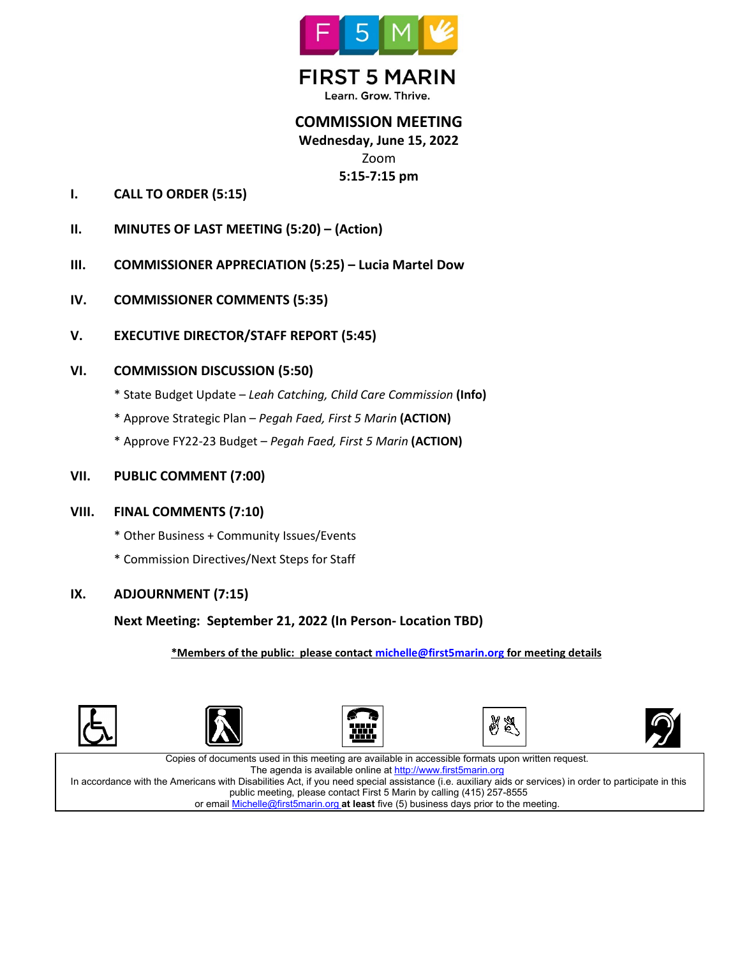

**FIRST 5 MARIN** Learn. Grow. Thrive.

# **COMMISSION MEETING Wednesday, June 15, 2022** Zoom **5:15-7:15 pm**

- **I. CALL TO ORDER (5:15)**
- **II. MINUTES OF LAST MEETING (5:20) – (Action)**
- **III. COMMISSIONER APPRECIATION (5:25) – Lucia Martel Dow**
- **IV. COMMISSIONER COMMENTS (5:35)**
- **V. EXECUTIVE DIRECTOR/STAFF REPORT (5:45)**

### **VI. COMMISSION DISCUSSION (5:50)**

- \* State Budget Update *Leah Catching, Child Care Commission* **(Info)**
- \* Approve Strategic Plan *Pegah Faed, First 5 Marin* **(ACTION)**
- \* Approve FY22-23 Budget *Pegah Faed, First 5 Marin* **(ACTION)**
- **VII. PUBLIC COMMENT (7:00)**

#### **VIII. FINAL COMMENTS (7:10)**

- \* Other Business + Community Issues/Events
- \* Commission Directives/Next Steps for Staff

### **IX. ADJOURNMENT (7:15)**

### **Next Meeting: September 21, 2022 (In Person- Location TBD)**

**\*Members of the public: please contac[t michelle@first5marin.org](mailto:michelle@first5marin.org) for meeting details**











Copies of documents used in this meeting are available in accessible formats upon written request. The agenda is available online a[t http://www.first5marin.org](http://www.first5marin.org/) In accordance with the Americans with Disabilities Act, if you need special assistance (i.e. auxiliary aids or services) in order to participate in this public meeting, please contact First 5 Marin by calling (415) 257-8555 or email [Michelle@first5marin.org](mailto:Michelle@first5marin.org) **at least** five (5) business days prior to the meeting.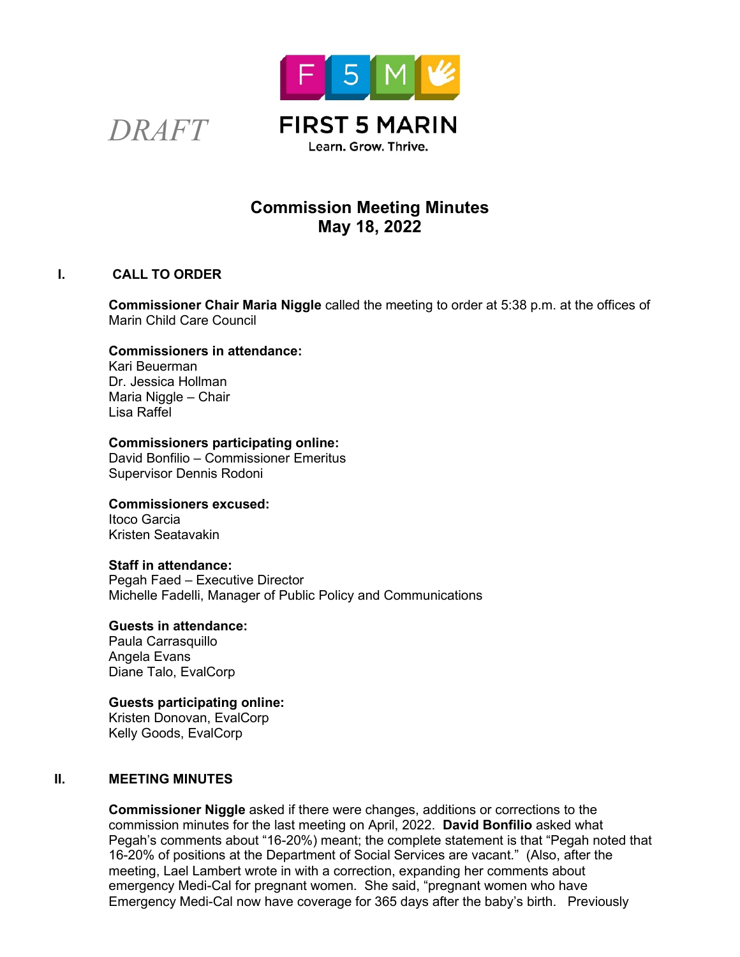



# **Commission Meeting Minutes May 18, 2022**

### **I. CALL TO ORDER**

**Commissioner Chair Maria Niggle** called the meeting to order at 5:38 p.m. at the offices of Marin Child Care Council

#### **Commissioners in attendance:**

Kari Beuerman Dr. Jessica Hollman Maria Niggle – Chair Lisa Raffel

### **Commissioners participating online:**

David Bonfilio – Commissioner Emeritus Supervisor Dennis Rodoni

### **Commissioners excused:**

Itoco Garcia Kristen Seatavakin

#### **Staff in attendance:**

Pegah Faed – Executive Director Michelle Fadelli, Manager of Public Policy and Communications

### **Guests in attendance:**

Paula Carrasquillo Angela Evans Diane Talo, EvalCorp

### **Guests participating online:**

Kristen Donovan, EvalCorp Kelly Goods, EvalCorp

### **II. MEETING MINUTES**

**Commissioner Niggle** asked if there were changes, additions or corrections to the commission minutes for the last meeting on April, 2022. **David Bonfilio** asked what Pegah's comments about "16-20%) meant; the complete statement is that "Pegah noted that 16-20% of positions at the Department of Social Services are vacant." (Also, after the meeting, Lael Lambert wrote in with a correction, expanding her comments about emergency Medi-Cal for pregnant women. She said, "pregnant women who have Emergency Medi-Cal now have coverage for 365 days after the baby's birth. Previously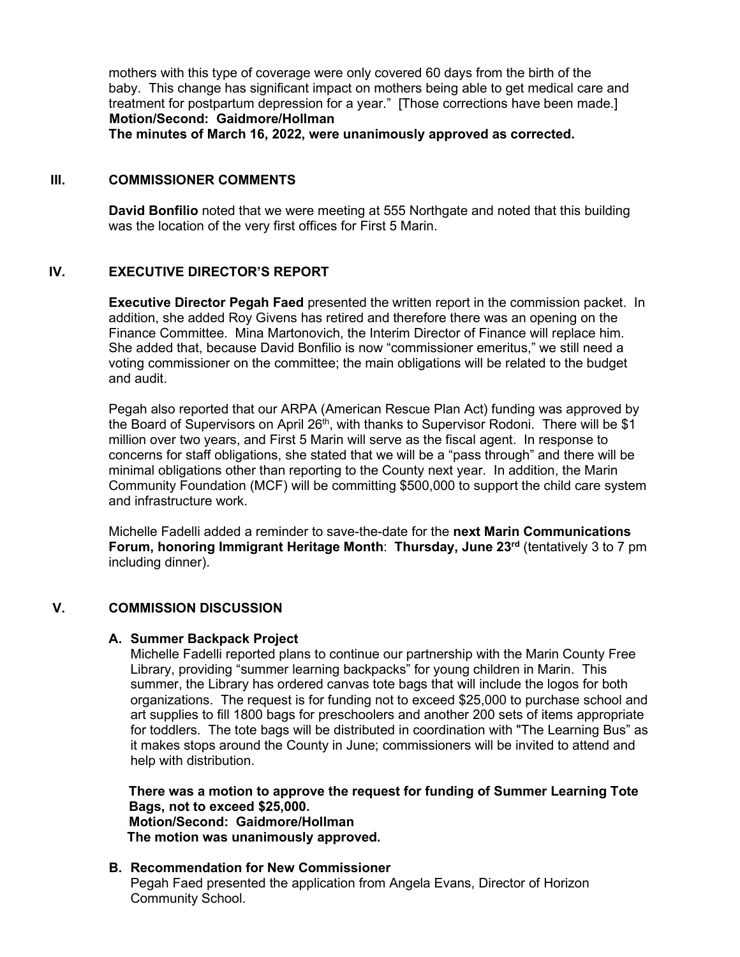mothers with this type of coverage were only covered 60 days from the birth of the baby. This change has significant impact on mothers being able to get medical care and treatment for postpartum depression for a year." [Those corrections have been made.]  **Motion/Second: Gaidmore/Hollman**

**The minutes of March 16, 2022, were unanimously approved as corrected.**

### **III. COMMISSIONER COMMENTS**

**David Bonfilio** noted that we were meeting at 555 Northgate and noted that this building was the location of the very first offices for First 5 Marin.

#### **IV. EXECUTIVE DIRECTOR'S REPORT**

**Executive Director Pegah Faed** presented the written report in the commission packet. In addition, she added Roy Givens has retired and therefore there was an opening on the Finance Committee. Mina Martonovich, the Interim Director of Finance will replace him. She added that, because David Bonfilio is now "commissioner emeritus," we still need a voting commissioner on the committee; the main obligations will be related to the budget and audit.

Pegah also reported that our ARPA (American Rescue Plan Act) funding was approved by the Board of Supervisors on April 26<sup>th</sup>, with thanks to Supervisor Rodoni. There will be \$1 million over two years, and First 5 Marin will serve as the fiscal agent. In response to concerns for staff obligations, she stated that we will be a "pass through" and there will be minimal obligations other than reporting to the County next year. In addition, the Marin Community Foundation (MCF) will be committing \$500,000 to support the child care system and infrastructure work.

Michelle Fadelli added a reminder to save-the-date for the **next Marin Communications Forum, honoring Immigrant Heritage Month**: **Thursday, June 23rd** (tentatively 3 to 7 pm including dinner).

#### **V. COMMISSION DISCUSSION**

#### **A. Summer Backpack Project**

Michelle Fadelli reported plans to continue our partnership with the Marin County Free Library, providing "summer learning backpacks" for young children in Marin. This summer, the Library has ordered canvas tote bags that will include the logos for both organizations. The request is for funding not to exceed \$25,000 to purchase school and art supplies to fill 1800 bags for preschoolers and another 200 sets of items appropriate for toddlers. The tote bags will be distributed in coordination with "The Learning Bus" as it makes stops around the County in June; commissioners will be invited to attend and help with distribution.

**There was a motion to approve the request for funding of Summer Learning Tote Bags, not to exceed \$25,000. Motion/Second: Gaidmore/Hollman The motion was unanimously approved.**

#### **B. Recommendation for New Commissioner**

Pegah Faed presented the application from Angela Evans, Director of Horizon Community School.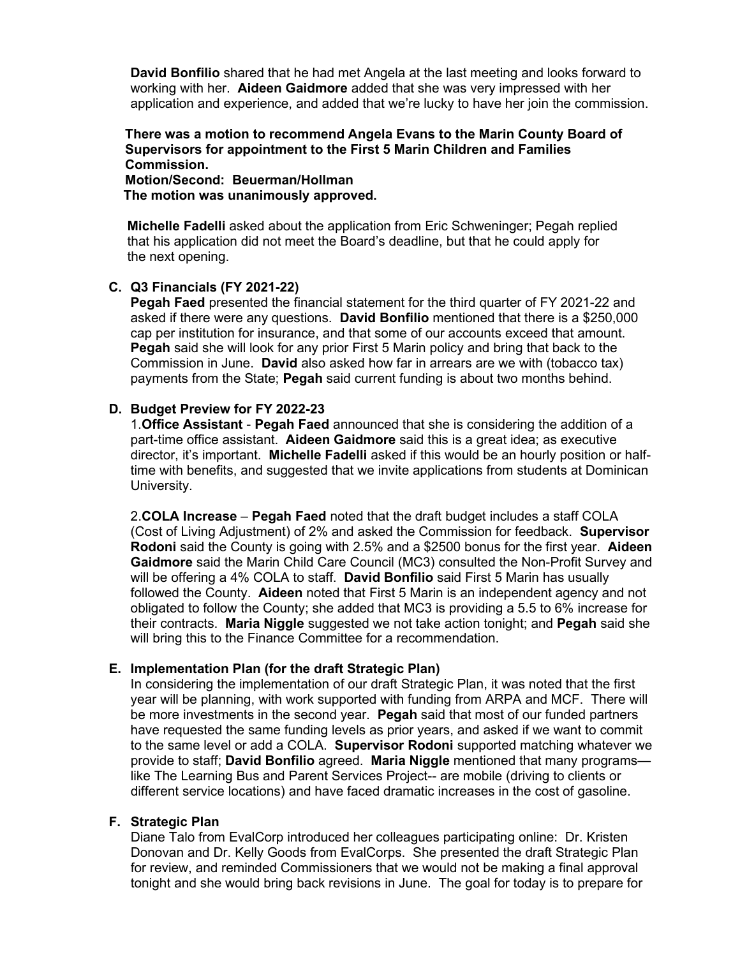**David Bonfilio** shared that he had met Angela at the last meeting and looks forward to working with her. **Aideen Gaidmore** added that she was very impressed with her application and experience, and added that we're lucky to have her join the commission.

### **There was a motion to recommend Angela Evans to the Marin County Board of Supervisors for appointment to the First 5 Marin Children and Families Commission.**

**Motion/Second: Beuerman/Hollman The motion was unanimously approved.**

 **Michelle Fadelli** asked about the application from Eric Schweninger; Pegah replied that his application did not meet the Board's deadline, but that he could apply for the next opening.

### **C. Q3 Financials (FY 2021-22)**

**Pegah Faed** presented the financial statement for the third quarter of FY 2021-22 and asked if there were any questions. **David Bonfilio** mentioned that there is a \$250,000 cap per institution for insurance, and that some of our accounts exceed that amount. **Pegah** said she will look for any prior First 5 Marin policy and bring that back to the Commission in June. **David** also asked how far in arrears are we with (tobacco tax) payments from the State; **Pegah** said current funding is about two months behind.

### **D. Budget Preview for FY 2022-23**

1.**Office Assistant** - **Pegah Faed** announced that she is considering the addition of a part-time office assistant. **Aideen Gaidmore** said this is a great idea; as executive director, it's important. **Michelle Fadelli** asked if this would be an hourly position or halftime with benefits, and suggested that we invite applications from students at Dominican University.

2.**COLA Increase** – **Pegah Faed** noted that the draft budget includes a staff COLA (Cost of Living Adjustment) of 2% and asked the Commission for feedback. **Supervisor Rodoni** said the County is going with 2.5% and a \$2500 bonus for the first year. **Aideen Gaidmore** said the Marin Child Care Council (MC3) consulted the Non-Profit Survey and will be offering a 4% COLA to staff. **David Bonfilio** said First 5 Marin has usually followed the County. **Aideen** noted that First 5 Marin is an independent agency and not obligated to follow the County; she added that MC3 is providing a 5.5 to 6% increase for their contracts. **Maria Niggle** suggested we not take action tonight; and **Pegah** said she will bring this to the Finance Committee for a recommendation.

#### **E. Implementation Plan (for the draft Strategic Plan)**

In considering the implementation of our draft Strategic Plan, it was noted that the first year will be planning, with work supported with funding from ARPA and MCF. There will be more investments in the second year. **Pegah** said that most of our funded partners have requested the same funding levels as prior years, and asked if we want to commit to the same level or add a COLA. **Supervisor Rodoni** supported matching whatever we provide to staff; **David Bonfilio** agreed. **Maria Niggle** mentioned that many programs like The Learning Bus and Parent Services Project-- are mobile (driving to clients or different service locations) and have faced dramatic increases in the cost of gasoline.

#### **F. Strategic Plan**

Diane Talo from EvalCorp introduced her colleagues participating online: Dr. Kristen Donovan and Dr. Kelly Goods from EvalCorps. She presented the draft Strategic Plan for review, and reminded Commissioners that we would not be making a final approval tonight and she would bring back revisions in June. The goal for today is to prepare for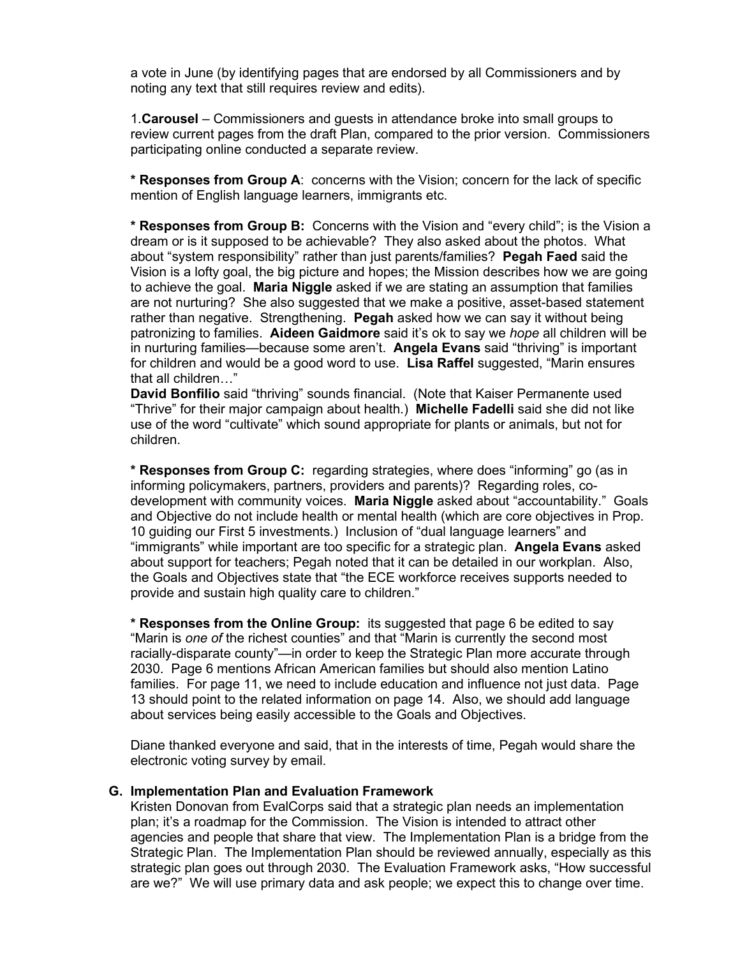a vote in June (by identifying pages that are endorsed by all Commissioners and by noting any text that still requires review and edits).

1.**Carousel** – Commissioners and guests in attendance broke into small groups to review current pages from the draft Plan, compared to the prior version. Commissioners participating online conducted a separate review.

**\* Responses from Group A**: concerns with the Vision; concern for the lack of specific mention of English language learners, immigrants etc.

**\* Responses from Group B:** Concerns with the Vision and "every child"; is the Vision a dream or is it supposed to be achievable? They also asked about the photos. What about "system responsibility" rather than just parents/families? **Pegah Faed** said the Vision is a lofty goal, the big picture and hopes; the Mission describes how we are going to achieve the goal. **Maria Niggle** asked if we are stating an assumption that families are not nurturing? She also suggested that we make a positive, asset-based statement rather than negative. Strengthening. **Pegah** asked how we can say it without being patronizing to families. **Aideen Gaidmore** said it's ok to say we *hope* all children will be in nurturing families—because some aren't. **Angela Evans** said "thriving" is important for children and would be a good word to use. **Lisa Raffel** suggested, "Marin ensures that all children…"

**David Bonfilio** said "thriving" sounds financial. (Note that Kaiser Permanente used "Thrive" for their major campaign about health.) **Michelle Fadelli** said she did not like use of the word "cultivate" which sound appropriate for plants or animals, but not for children.

**\* Responses from Group C:** regarding strategies, where does "informing" go (as in informing policymakers, partners, providers and parents)? Regarding roles, codevelopment with community voices. **Maria Niggle** asked about "accountability." Goals and Objective do not include health or mental health (which are core objectives in Prop. 10 guiding our First 5 investments.) Inclusion of "dual language learners" and "immigrants" while important are too specific for a strategic plan. **Angela Evans** asked about support for teachers; Pegah noted that it can be detailed in our workplan. Also, the Goals and Objectives state that "the ECE workforce receives supports needed to provide and sustain high quality care to children."

**\* Responses from the Online Group:** its suggested that page 6 be edited to say "Marin is *one of* the richest counties" and that "Marin is currently the second most racially-disparate county"—in order to keep the Strategic Plan more accurate through 2030. Page 6 mentions African American families but should also mention Latino families. For page 11, we need to include education and influence not just data. Page 13 should point to the related information on page 14. Also, we should add language about services being easily accessible to the Goals and Objectives.

Diane thanked everyone and said, that in the interests of time, Pegah would share the electronic voting survey by email.

#### **G. Implementation Plan and Evaluation Framework**

Kristen Donovan from EvalCorps said that a strategic plan needs an implementation plan; it's a roadmap for the Commission. The Vision is intended to attract other agencies and people that share that view. The Implementation Plan is a bridge from the Strategic Plan. The Implementation Plan should be reviewed annually, especially as this strategic plan goes out through 2030. The Evaluation Framework asks, "How successful are we?" We will use primary data and ask people; we expect this to change over time.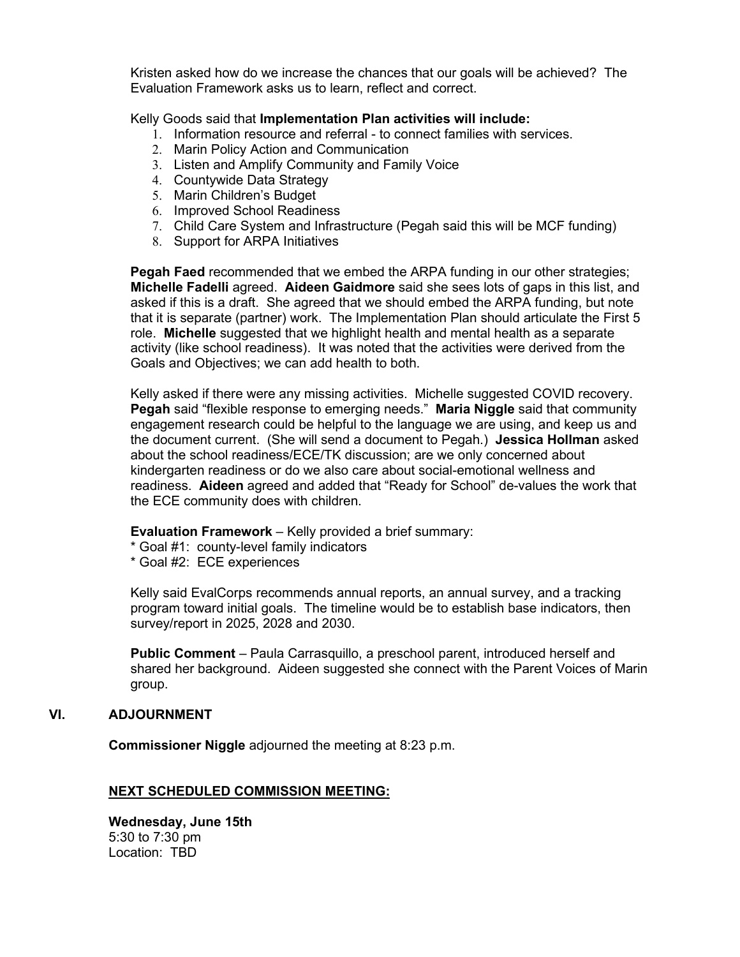Kristen asked how do we increase the chances that our goals will be achieved? The Evaluation Framework asks us to learn, reflect and correct.

#### Kelly Goods said that **Implementation Plan activities will include:**

- 1. Information resource and referral to connect families with services.
- 2. Marin Policy Action and Communication
- 3. Listen and Amplify Community and Family Voice
- 4. Countywide Data Strategy
- 5. Marin Children's Budget
- 6. Improved School Readiness
- 7. Child Care System and Infrastructure (Pegah said this will be MCF funding)
- 8. Support for ARPA Initiatives

**Pegah Faed** recommended that we embed the ARPA funding in our other strategies; **Michelle Fadelli** agreed. **Aideen Gaidmore** said she sees lots of gaps in this list, and asked if this is a draft. She agreed that we should embed the ARPA funding, but note that it is separate (partner) work. The Implementation Plan should articulate the First 5 role. **Michelle** suggested that we highlight health and mental health as a separate activity (like school readiness). It was noted that the activities were derived from the Goals and Objectives; we can add health to both.

Kelly asked if there were any missing activities. Michelle suggested COVID recovery. **Pegah** said "flexible response to emerging needs." **Maria Niggle** said that community engagement research could be helpful to the language we are using, and keep us and the document current. (She will send a document to Pegah.) **Jessica Hollman** asked about the school readiness/ECE/TK discussion; are we only concerned about kindergarten readiness or do we also care about social-emotional wellness and readiness. **Aideen** agreed and added that "Ready for School" de-values the work that the ECE community does with children.

**Evaluation Framework** – Kelly provided a brief summary:

\* Goal #1: county-level family indicators

\* Goal #2: ECE experiences

Kelly said EvalCorps recommends annual reports, an annual survey, and a tracking program toward initial goals. The timeline would be to establish base indicators, then survey/report in 2025, 2028 and 2030.

**Public Comment** – Paula Carrasquillo, a preschool parent, introduced herself and shared her background. Aideen suggested she connect with the Parent Voices of Marin group.

### **VI. ADJOURNMENT**

**Commissioner Niggle** adjourned the meeting at 8:23 p.m.

### **NEXT SCHEDULED COMMISSION MEETING:**

**Wednesday, June 15th** 5:30 to 7:30 pm Location: TBD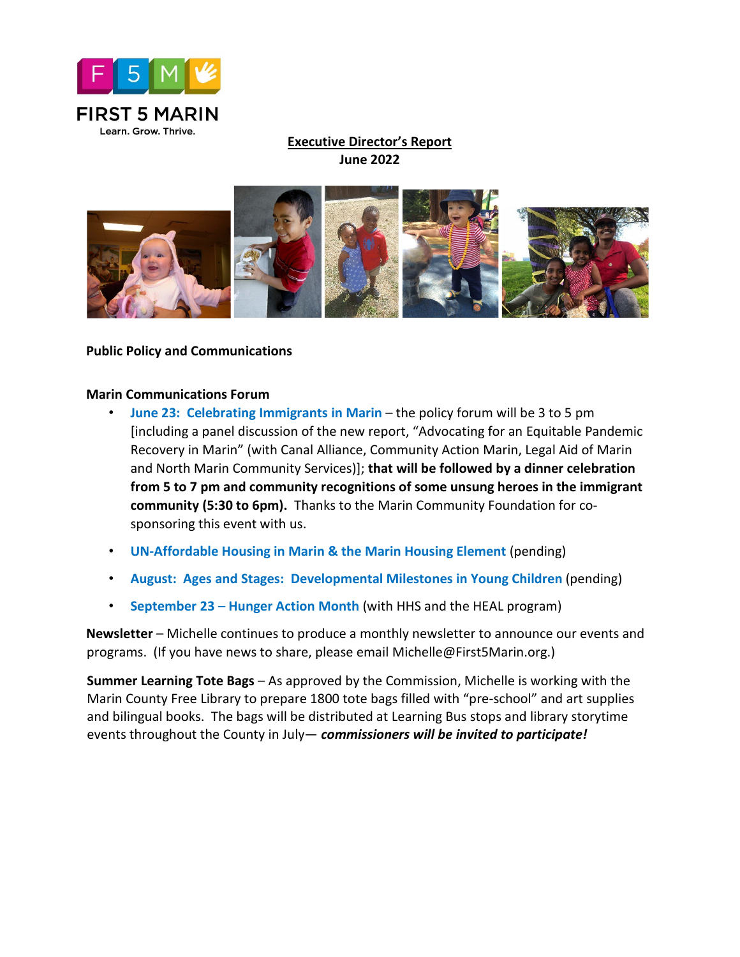

# **Executive Director's Report June 2022**



### **Public Policy and Communications**

### **Marin Communications Forum**

- **June 23: Celebrating Immigrants in Marin**  the policy forum will be 3 to 5 pm [including a panel discussion of the new report, "Advocating for an Equitable Pandemic Recovery in Marin" (with Canal Alliance, Community Action Marin, Legal Aid of Marin and North Marin Community Services)]; **that will be followed by a dinner celebration from 5 to 7 pm and community recognitions of some unsung heroes in the immigrant community (5:30 to 6pm).** Thanks to the Marin Community Foundation for cosponsoring this event with us.
- **UN-Affordable Housing in Marin & the Marin Housing Element** (pending)
- **August: Ages and Stages: Developmental Milestones in Young Children** (pending)
- **September 23 Hunger Action Month** (with HHS and the HEAL program)

**Newsletter** – Michelle continues to produce a monthly newsletter to announce our events and programs. (If you have news to share, please email Michelle@First5Marin.org.)

**Summer Learning Tote Bags** – As approved by the Commission, Michelle is working with the Marin County Free Library to prepare 1800 tote bags filled with "pre-school" and art supplies and bilingual books. The bags will be distributed at Learning Bus stops and library storytime events throughout the County in July— *commissioners will be invited to participate!*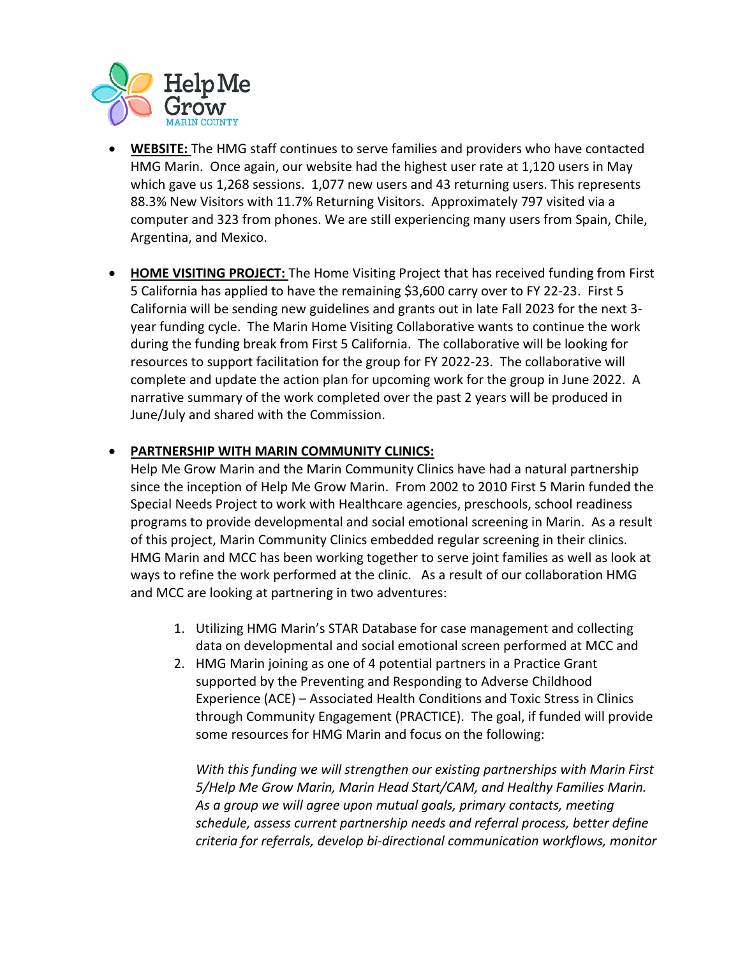

- **WEBSITE:** The HMG staff continues to serve families and providers who have contacted HMG Marin. Once again, our website had the highest user rate at 1,120 users in May which gave us 1,268 sessions. 1,077 new users and 43 returning users. This represents 88.3% New Visitors with 11.7% Returning Visitors. Approximately 797 visited via a computer and 323 from phones. We are still experiencing many users from Spain, Chile, Argentina, and Mexico.
- **HOME VISITING PROJECT:** The Home Visiting Project that has received funding from First 5 California has applied to have the remaining \$3,600 carry over to FY 22-23. First 5 California will be sending new guidelines and grants out in late Fall 2023 for the next 3 year funding cycle. The Marin Home Visiting Collaborative wants to continue the work during the funding break from First 5 California. The collaborative will be looking for resources to support facilitation for the group for FY 2022-23. The collaborative will complete and update the action plan for upcoming work for the group in June 2022. A narrative summary of the work completed over the past 2 years will be produced in June/July and shared with the Commission.

### • **PARTNERSHIP WITH MARIN COMMUNITY CLINICS:**

Help Me Grow Marin and the Marin Community Clinics have had a natural partnership since the inception of Help Me Grow Marin. From 2002 to 2010 First 5 Marin funded the Special Needs Project to work with Healthcare agencies, preschools, school readiness programs to provide developmental and social emotional screening in Marin. As a result of this project, Marin Community Clinics embedded regular screening in their clinics. HMG Marin and MCC has been working together to serve joint families as well as look at ways to refine the work performed at the clinic. As a result of our collaboration HMG and MCC are looking at partnering in two adventures:

- 1. Utilizing HMG Marin's STAR Database for case management and collecting data on developmental and social emotional screen performed at MCC and
- 2. HMG Marin joining as one of 4 potential partners in a Practice Grant supported by the Preventing and Responding to Adverse Childhood Experience (ACE) – Associated Health Conditions and Toxic Stress in Clinics through Community Engagement (PRACTICE). The goal, if funded will provide some resources for HMG Marin and focus on the following:

*With this funding we will strengthen our existing partnerships with Marin First 5/Help Me Grow Marin, Marin Head Start/CAM, and Healthy Families Marin. As a group we will agree upon mutual goals, primary contacts, meeting schedule, assess current partnership needs and referral process, better define criteria for referrals, develop bi-directional communication workflows, monitor*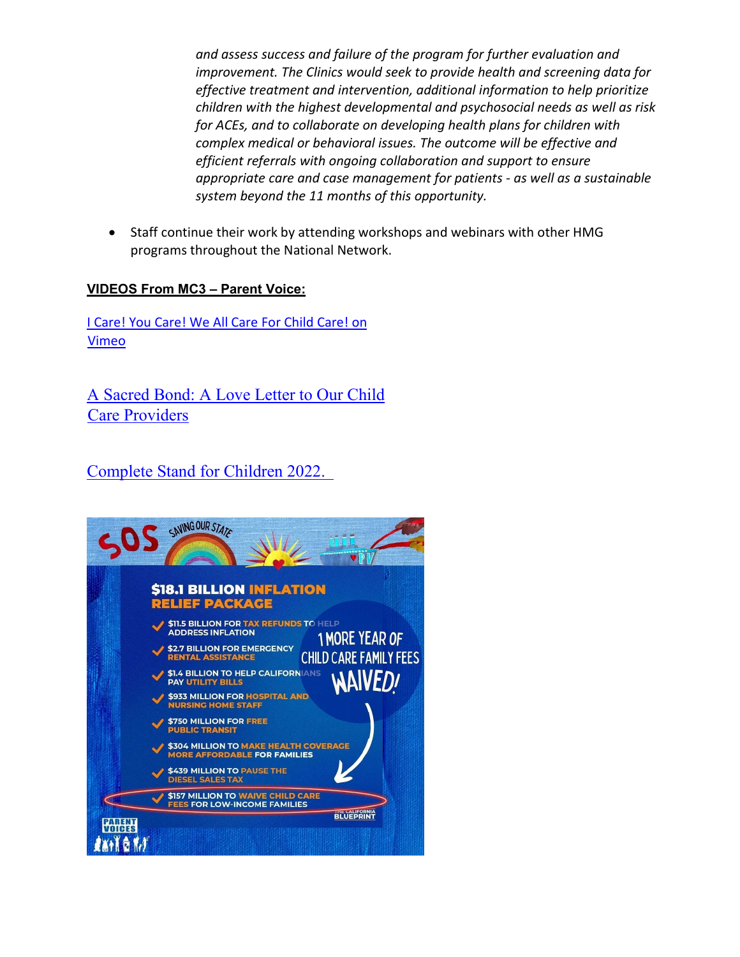*and assess success and failure of the program for further evaluation and improvement. The Clinics would seek to provide health and screening data for effective treatment and intervention, additional information to help prioritize children with the highest developmental and psychosocial needs as well as risk for ACEs, and to collaborate on developing health plans for children with complex medical or behavioral issues. The outcome will be effective and efficient referrals with ongoing collaboration and support to ensure appropriate care and case management for patients - as well as a sustainable system beyond the 11 months of this opportunity.*

• Staff continue their work by attending workshops and webinars with other HMG programs throughout the National Network.

# **VIDEOS From MC3 – Parent Voice:**

[I Care! You Care! We All Care For Child Care! on](https://vimeo.com/708822227?fbclid=IwAR3WcH5aGzjb6YdFrG3VNYpXVPUP4IajXkmwkeHhJk1jYuNtVkYBefC0xwo)  [Vimeo](https://vimeo.com/708822227?fbclid=IwAR3WcH5aGzjb6YdFrG3VNYpXVPUP4IajXkmwkeHhJk1jYuNtVkYBefC0xwo)

[A Sacred Bond: A Love Letter to Our Child](http://vimeo.com/710854085)  [Care Providers](http://vimeo.com/710854085)

[Complete Stand for Children 2022.](https://facebook.com/events/s/stand-for-children-day-2022/1047873666083381/) 

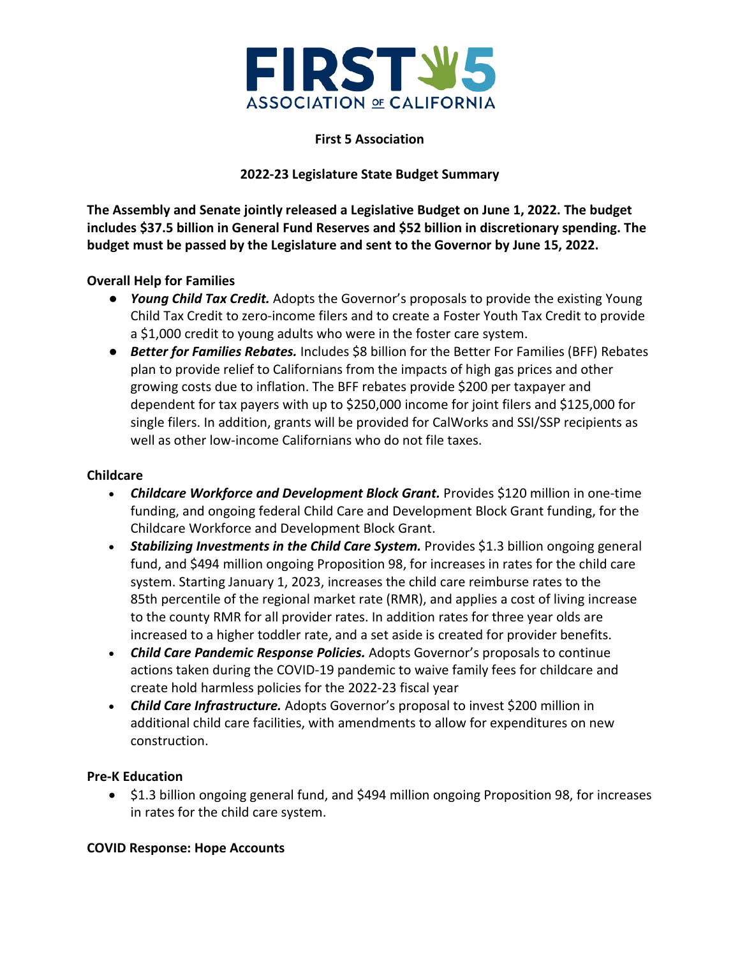

### **First 5 Association**

### **2022-23 Legislature State Budget Summary**

**The Assembly and Senate jointly released a Legislative Budget on June 1, 2022. The budget includes \$37.5 billion in General Fund Reserves and \$52 billion in discretionary spending. The budget must be passed by the Legislature and sent to the Governor by June 15, 2022.**

### **Overall Help for Families**

- *Young Child Tax Credit.* Adopts the Governor's proposals to provide the existing Young Child Tax Credit to zero-income filers and to create a Foster Youth Tax Credit to provide a \$1,000 credit to young adults who were in the foster care system.
- *Better for Families Rebates.* Includes \$8 billion for the Better For Families (BFF) Rebates plan to provide relief to Californians from the impacts of high gas prices and other growing costs due to inflation. The BFF rebates provide \$200 per taxpayer and dependent for tax payers with up to \$250,000 income for joint filers and \$125,000 for single filers. In addition, grants will be provided for CalWorks and SSI/SSP recipients as well as other low-income Californians who do not file taxes.

### **Childcare**

- *Childcare Workforce and Development Block Grant.* Provides \$120 million in one-time funding, and ongoing federal Child Care and Development Block Grant funding, for the Childcare Workforce and Development Block Grant.
- *Stabilizing Investments in the Child Care System.* Provides \$1.3 billion ongoing general fund, and \$494 million ongoing Proposition 98, for increases in rates for the child care system. Starting January 1, 2023, increases the child care reimburse rates to the 85th percentile of the regional market rate (RMR), and applies a cost of living increase to the county RMR for all provider rates. In addition rates for three year olds are increased to a higher toddler rate, and a set aside is created for provider benefits.
- *Child Care Pandemic Response Policies.* Adopts Governor's proposals to continue actions taken during the COVID-19 pandemic to waive family fees for childcare and create hold harmless policies for the 2022-23 fiscal year
- *Child Care Infrastructure.* Adopts Governor's proposal to invest \$200 million in additional child care facilities, with amendments to allow for expenditures on new construction.

### **Pre-K Education**

• \$1.3 billion ongoing general fund, and \$494 million ongoing Proposition 98, for increases in rates for the child care system.

### **COVID Response: Hope Accounts**